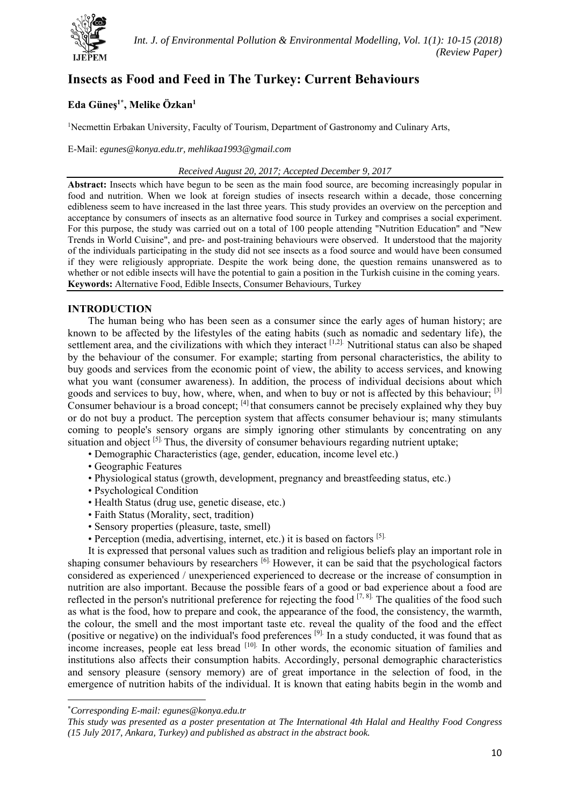

# **Insects as Food and Feed in The Turkey: Current Behaviours**

## **Eda Güneş1\*, Melike Özkan1**

<sup>1</sup>Necmettin Erbakan University, Faculty of Tourism, Department of Gastronomy and Culinary Arts,

E-Mail: *egunes@konya.edu.tr, mehlikaa1993@gmail.com* 

#### *Received August 20, 2017; Accepted December 9, 2017*

**Abstract:** Insects which have begun to be seen as the main food source, are becoming increasingly popular in food and nutrition. When we look at foreign studies of insects research within a decade, those concerning edibleness seem to have increased in the last three years. This study provides an overview on the perception and acceptance by consumers of insects as an alternative food source in Turkey and comprises a social experiment. For this purpose, the study was carried out on a total of 100 people attending "Nutrition Education" and "New Trends in World Cuisine", and pre- and post-training behaviours were observed. It understood that the majority of the individuals participating in the study did not see insects as a food source and would have been consumed if they were religiously appropriate. Despite the work being done, the question remains unanswered as to whether or not edible insects will have the potential to gain a position in the Turkish cuisine in the coming years. **Keywords:** Alternative Food, Edible Insects, Consumer Behaviours, Turkey

### **INTRODUCTION**

The human being who has been seen as a consumer since the early ages of human history; are known to be affected by the lifestyles of the eating habits (such as nomadic and sedentary life), the settlement area, and the civilizations with which they interact <sup>[1,2]</sup>. Nutritional status can also be shaped by the behaviour of the consumer. For example; starting from personal characteristics, the ability to buy goods and services from the economic point of view, the ability to access services, and knowing what you want (consumer awareness). In addition, the process of individual decisions about which goods and services to buy, how, where, when, and when to buy or not is affected by this behaviour; [3] Consumer behaviour is a broad concept; [4] that consumers cannot be precisely explained why they buy or do not buy a product. The perception system that affects consumer behaviour is; many stimulants coming to people's sensory organs are simply ignoring other stimulants by concentrating on any situation and object <sup>[5].</sup> Thus, the diversity of consumer behaviours regarding nutrient uptake;

- Demographic Characteristics (age, gender, education, income level etc.)
- Geographic Features
- Physiological status (growth, development, pregnancy and breastfeeding status, etc.)
- Psychological Condition
- Health Status (drug use, genetic disease, etc.)
- Faith Status (Morality, sect, tradition)
- Sensory properties (pleasure, taste, smell)
- Perception (media, advertising, internet, etc.) it is based on factors [5].

It is expressed that personal values such as tradition and religious beliefs play an important role in shaping consumer behaviours by researchers [6]. However, it can be said that the psychological factors considered as experienced / unexperienced experienced to decrease or the increase of consumption in nutrition are also important. Because the possible fears of a good or bad experience about a food are reflected in the person's nutritional preference for rejecting the food  $[7, 8]$ . The qualities of the food such as what is the food, how to prepare and cook, the appearance of the food, the consistency, the warmth, the colour, the smell and the most important taste etc. reveal the quality of the food and the effect (positive or negative) on the individual's food preferences [9]. In a study conducted, it was found that as income increases, people eat less bread  $[10]$ . In other words, the economic situation of families and institutions also affects their consumption habits. Accordingly, personal demographic characteristics and sensory pleasure (sensory memory) are of great importance in the selection of food, in the emergence of nutrition habits of the individual. It is known that eating habits begin in the womb and

<sup>\*</sup> *Corresponding E-mail: egunes@konya.edu.tr* 

*This study was presented as a poster presentation at The International 4th Halal and Healthy Food Congress (15 July 2017, Ankara, Turkey) and published as abstract in the abstract book.*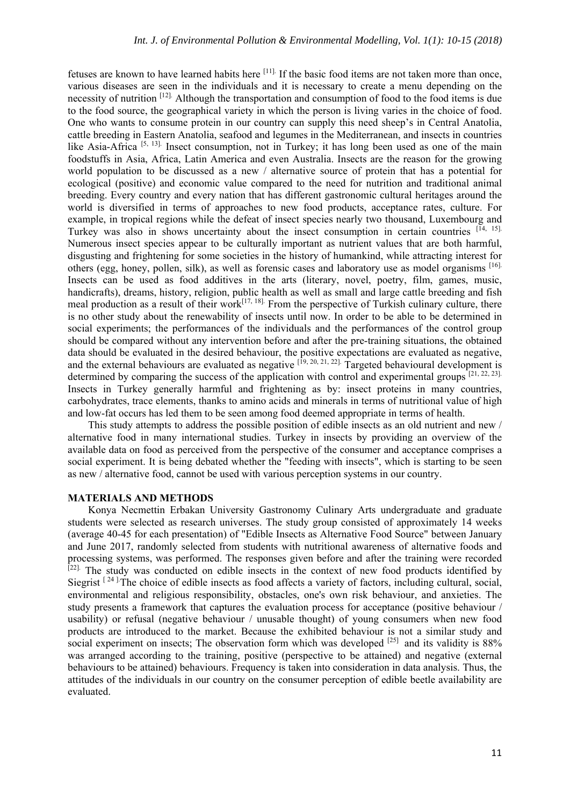fetuses are known to have learned habits here [11]. If the basic food items are not taken more than once, various diseases are seen in the individuals and it is necessary to create a menu depending on the necessity of nutrition [12]. Although the transportation and consumption of food to the food items is due to the food source, the geographical variety in which the person is living varies in the choice of food. One who wants to consume protein in our country can supply this need sheep's in Central Anatolia, cattle breeding in Eastern Anatolia, seafood and legumes in the Mediterranean, and insects in countries like Asia-Africa<sup>[5, 13]</sup>. Insect consumption, not in Turkey; it has long been used as one of the main foodstuffs in Asia, Africa, Latin America and even Australia. Insects are the reason for the growing world population to be discussed as a new / alternative source of protein that has a potential for ecological (positive) and economic value compared to the need for nutrition and traditional animal breeding. Every country and every nation that has different gastronomic cultural heritages around the world is diversified in terms of approaches to new food products, acceptance rates, culture. For example, in tropical regions while the defeat of insect species nearly two thousand, Luxembourg and Turkey was also in shows uncertainty about the insect consumption in certain countries  $[14, 15]$ . Numerous insect species appear to be culturally important as nutrient values that are both harmful, disgusting and frightening for some societies in the history of humankind, while attracting interest for others (egg, honey, pollen, silk), as well as forensic cases and laboratory use as model organisms [16]. Insects can be used as food additives in the arts (literary, novel, poetry, film, games, music, handicrafts), dreams, history, religion, public health as well as small and large cattle breeding and fish meal production as a result of their work $[17, 18]$ . From the perspective of Turkish culinary culture, there is no other study about the renewability of insects until now. In order to be able to be determined in social experiments; the performances of the individuals and the performances of the control group should be compared without any intervention before and after the pre-training situations, the obtained data should be evaluated in the desired behaviour, the positive expectations are evaluated as negative, and the external behaviours are evaluated as negative  $[19, 20, 21, 22]$ . Targeted behavioural development is determined by comparing the success of the application with control and experimental groups  $[21, 22, 23]$ . Insects in Turkey generally harmful and frightening as by: insect proteins in many countries, carbohydrates, trace elements, thanks to amino acids and minerals in terms of nutritional value of high and low-fat occurs has led them to be seen among food deemed appropriate in terms of health.

This study attempts to address the possible position of edible insects as an old nutrient and new / alternative food in many international studies. Turkey in insects by providing an overview of the available data on food as perceived from the perspective of the consumer and acceptance comprises a social experiment. It is being debated whether the "feeding with insects", which is starting to be seen as new / alternative food, cannot be used with various perception systems in our country.

#### **MATERIALS AND METHODS**

Konya Necmettin Erbakan University Gastronomy Culinary Arts undergraduate and graduate students were selected as research universes. The study group consisted of approximately 14 weeks (average 40-45 for each presentation) of "Edible Insects as Alternative Food Source" between January and June 2017, randomly selected from students with nutritional awareness of alternative foods and processing systems, was performed. The responses given before and after the training were recorded <sup>[22]</sup>. The study was conducted on edible insects in the context of new food products identified by Siegrist  $[24]$ . The choice of edible insects as food affects a variety of factors, including cultural, social, environmental and religious responsibility, obstacles, one's own risk behaviour, and anxieties. The study presents a framework that captures the evaluation process for acceptance (positive behaviour / usability) or refusal (negative behaviour / unusable thought) of young consumers when new food products are introduced to the market. Because the exhibited behaviour is not a similar study and social experiment on insects; The observation form which was developed <sup>[25]</sup> and its validity is 88% was arranged according to the training, positive (perspective to be attained) and negative (external behaviours to be attained) behaviours. Frequency is taken into consideration in data analysis. Thus, the attitudes of the individuals in our country on the consumer perception of edible beetle availability are evaluated.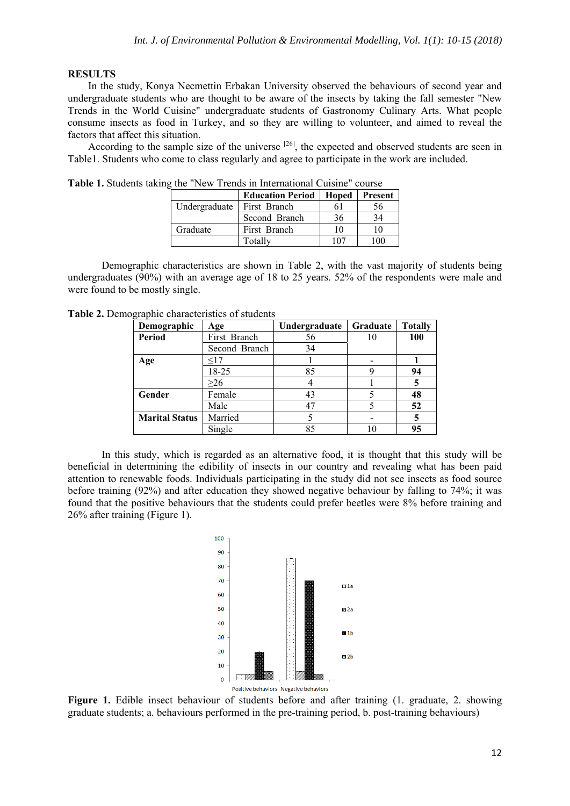#### **RESULTS**

In the study, Konya Necmettin Erbakan University observed the behaviours of second year and undergraduate students who are thought to be aware of the insects by taking the fall semester "New Trends in the World Cuisine" undergraduate students of Gastronomy Culinary Arts. What people consume insects as food in Turkey, and so they are willing to volunteer, and aimed to reveal the factors that affect this situation.

According to the sample size of the universe  $[26]$ , the expected and observed students are seen in Table1. Students who come to class regularly and agree to participate in the work are included.

|               | <b>Education Period</b> | Hoped | <b>Present</b> |  |
|---------------|-------------------------|-------|----------------|--|
| Undergraduate | First Branch            |       | .56            |  |
|               | Second Branch           | 36    | 34             |  |
| Graduate      | First Branch            | 10    | 10             |  |
|               | Totally                 | 107   | 0 <sup>0</sup> |  |

**Table 1.** Students taking the "New Trends in International Cuisine" course

Demographic characteristics are shown in Table 2, with the vast majority of students being undergraduates (90%) with an average age of 18 to 25 years. 52% of the respondents were male and were found to be mostly single.

| Demographic           | Age           | Undergraduate | Graduate | <b>Totally</b> |
|-----------------------|---------------|---------------|----------|----------------|
| Period                | First Branch  | 56            | 10       | 100            |
|                       | Second Branch | 34            |          |                |
| Age                   | <17           |               |          |                |
|                       | 18-25         | 85            |          | 94             |
|                       | >26           |               |          |                |
| Gender                | Female        | 43            |          | 48             |
|                       | Male          |               |          | 52             |
| <b>Marital Status</b> | Married       |               |          |                |
|                       | Single        | 85            |          | 95             |

**Table 2.** Demographic characteristics of students

In this study, which is regarded as an alternative food, it is thought that this study will be beneficial in determining the edibility of insects in our country and revealing what has been paid attention to renewable foods. Individuals participating in the study did not see insects as food source before training (92%) and after education they showed negative behaviour by falling to 74%; it was found that the positive behaviours that the students could prefer beetles were 8% before training and 26% after training (Figure 1).



**Figure 1.** Edible insect behaviour of students before and after training (1. graduate, 2. showing graduate students; a. behaviours performed in the pre-training period, b. post-training behaviours)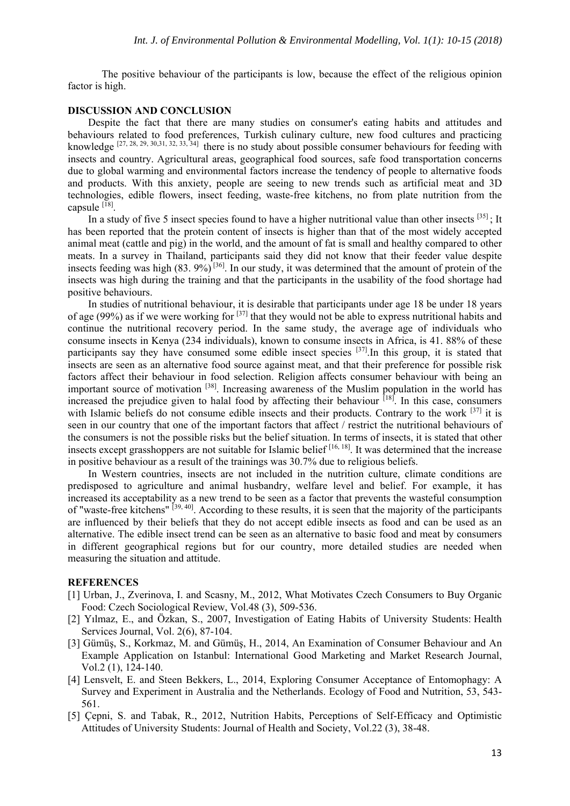The positive behaviour of the participants is low, because the effect of the religious opinion factor is high.

#### **DISCUSSION AND CONCLUSION**

Despite the fact that there are many studies on consumer's eating habits and attitudes and behaviours related to food preferences, Turkish culinary culture, new food cultures and practicing knowledge  $[27, 28, 29, 30, 31, 32, 33, 34]$  there is no study about possible consumer behaviours for feeding with insects and country. Agricultural areas, geographical food sources, safe food transportation concerns due to global warming and environmental factors increase the tendency of people to alternative foods and products. With this anxiety, people are seeing to new trends such as artificial meat and 3D technologies, edible flowers, insect feeding, waste-free kitchens, no from plate nutrition from the capsule  $^{[18]}$ .

In a study of five 5 insect species found to have a higher nutritional value than other insects  $[35]$ ; It has been reported that the protein content of insects is higher than that of the most widely accepted animal meat (cattle and pig) in the world, and the amount of fat is small and healthy compared to other meats. In a survey in Thailand, participants said they did not know that their feeder value despite insects feeding was high (83. 9%) [36]. In our study, it was determined that the amount of protein of the insects was high during the training and that the participants in the usability of the food shortage had positive behaviours.

In studies of nutritional behaviour, it is desirable that participants under age 18 be under 18 years of age (99%) as if we were working for  $[37]$  that they would not be able to express nutritional habits and continue the nutritional recovery period. In the same study, the average age of individuals who consume insects in Kenya (234 individuals), known to consume insects in Africa, is 41. 88% of these participants say they have consumed some edible insect species <sup>[37]</sup>. In this group, it is stated that insects are seen as an alternative food source against meat, and that their preference for possible risk factors affect their behaviour in food selection. Religion affects consumer behaviour with being an important source of motivation <sup>[38]</sup>. Increasing awareness of the Muslim population in the world has increased the prejudice given to halal food by affecting their behaviour  $[18]$ . In this case, consumers with Islamic beliefs do not consume edible insects and their products. Contrary to the work <sup>[37]</sup> it is seen in our country that one of the important factors that affect / restrict the nutritional behaviours of the consumers is not the possible risks but the belief situation. In terms of insects, it is stated that other insects except grasshoppers are not suitable for Islamic belief  $[16, 18]$ . It was determined that the increase in positive behaviour as a result of the trainings was 30.7% due to religious beliefs.

In Western countries, insects are not included in the nutrition culture, climate conditions are predisposed to agriculture and animal husbandry, welfare level and belief. For example, it has increased its acceptability as a new trend to be seen as a factor that prevents the wasteful consumption of "waste-free kitchens" [39, 40]. According to these results, it is seen that the majority of the participants are influenced by their beliefs that they do not accept edible insects as food and can be used as an alternative. The edible insect trend can be seen as an alternative to basic food and meat by consumers in different geographical regions but for our country, more detailed studies are needed when measuring the situation and attitude.

#### **REFERENCES**

- [1] Urban, J., Zverinova, I. and Scasny, M., 2012, What Motivates Czech Consumers to Buy Organic Food: Czech Sociological Review, Vol.48 (3), 509-536.
- [2] Yılmaz, E., and Özkan, S., 2007, Investigation of Eating Habits of University Students: Health Services Journal, Vol. 2(6), 87-104.
- [3] Gümüş, S., Korkmaz, M. and Gümüş, H., 2014, An Examination of Consumer Behaviour and An Example Application on Istanbul: International Good Marketing and Market Research Journal, Vol.2 (1), 124-140.
- [4] Lensvelt, E. and Steen Bekkers, L., 2014, Exploring Consumer Acceptance of Entomophagy: A Survey and Experiment in Australia and the Netherlands. Ecology of Food and Nutrition, 53, 543- 561.
- [5] Çepni, S. and Tabak, R., 2012, Nutrition Habits, Perceptions of Self-Efficacy and Optimistic Attitudes of University Students: Journal of Health and Society, Vol.22 (3), 38-48.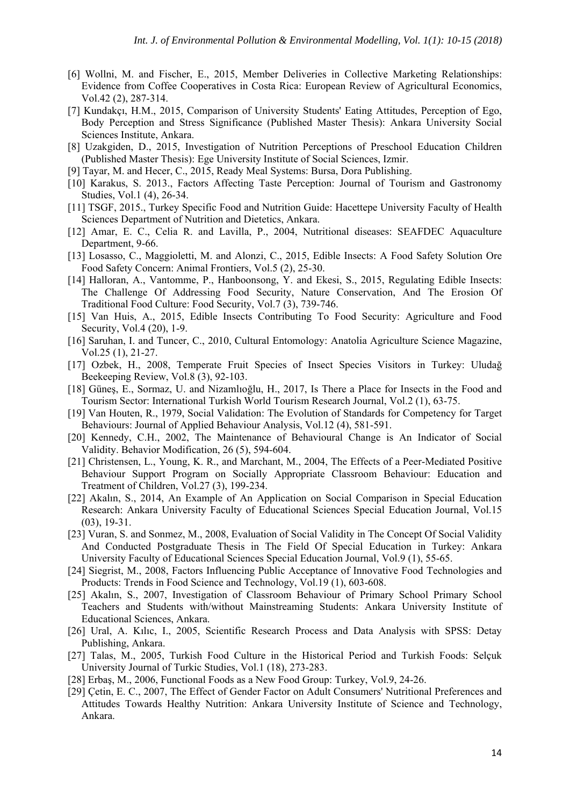- [6] Wollni, M. and Fischer, E., 2015, Member Deliveries in Collective Marketing Relationships: Evidence from Coffee Cooperatives in Costa Rica: European Review of Agricultural Economics, Vol.42 (2), 287-314.
- [7] Kundakçı, H.M., 2015, Comparison of University Students' Eating Attitudes, Perception of Ego, Body Perception and Stress Significance (Published Master Thesis): Ankara University Social Sciences Institute, Ankara.
- [8] Uzakgiden, D., 2015, Investigation of Nutrition Perceptions of Preschool Education Children (Published Master Thesis): Ege University Institute of Social Sciences, Izmir.
- [9] Tayar, M. and Hecer, C., 2015, Ready Meal Systems: Bursa, Dora Publishing.
- [10] Karakus, S. 2013., Factors Affecting Taste Perception: Journal of Tourism and Gastronomy Studies, Vol.1 (4), 26-34.
- [11] TSGF, 2015., Turkey Specific Food and Nutrition Guide: Hacettepe University Faculty of Health Sciences Department of Nutrition and Dietetics, Ankara.
- [12] Amar, E. C., Celia R. and Lavilla, P., 2004, Nutritional diseases: SEAFDEC Aquaculture Department, 9-66.
- [13] Losasso, C., Maggioletti, M. and Alonzi, C., 2015, Edible Insects: A Food Safety Solution Ore Food Safety Concern: Animal Frontiers, Vol.5 (2), 25-30.
- [14] Halloran, A., Vantomme, P., Hanboonsong, Y. and Ekesi, S., 2015, Regulating Edible Insects: The Challenge Of Addressing Food Security, Nature Conservation, And The Erosion Of Traditional Food Culture: Food Security, Vol.7 (3), 739-746.
- [15] Van Huis, A., 2015, Edible Insects Contributing To Food Security: Agriculture and Food Security, Vol.4 (20), 1-9.
- [16] Saruhan, I. and Tuncer, C., 2010, Cultural Entomology: Anatolia Agriculture Science Magazine, Vol.25 (1), 21-27.
- [17] Ozbek, H., 2008, Temperate Fruit Species of Insect Species Visitors in Turkey: Uludağ Beekeeping Review, Vol.8 (3), 92-103.
- [18] Güneş, E., Sormaz, U. and Nizamlıoğlu, H., 2017, Is There a Place for Insects in the Food and Tourism Sector: International Turkish World Tourism Research Journal, Vol.2 (1), 63-75.
- [19] Van Houten, R., 1979, Social Validation: The Evolution of Standards for Competency for Target Behaviours: Journal of Applied Behaviour Analysis, Vol.12 (4), 581-591.
- [20] Kennedy, C.H., 2002, The Maintenance of Behavioural Change is An Indicator of Social Validity. Behavior Modification, 26 (5), 594-604.
- [21] Christensen, L., Young, K. R., and Marchant, M., 2004, The Effects of a Peer-Mediated Positive Behaviour Support Program on Socially Appropriate Classroom Behaviour: Education and Treatment of Children, Vol.27 (3), 199-234.
- [22] Akalın, S., 2014, An Example of An Application on Social Comparison in Special Education Research: Ankara University Faculty of Educational Sciences Special Education Journal, Vol.15 (03), 19-31.
- [23] Vuran, S. and Sonmez, M., 2008, Evaluation of Social Validity in The Concept Of Social Validity And Conducted Postgraduate Thesis in The Field Of Special Education in Turkey: Ankara University Faculty of Educational Sciences Special Education Journal, Vol.9 (1), 55-65.
- [24] Siegrist, M., 2008, Factors Influencing Public Acceptance of Innovative Food Technologies and Products: Trends in Food Science and Technology, Vol.19 (1), 603-608.
- [25] Akalın, S., 2007, Investigation of Classroom Behaviour of Primary School Primary School Teachers and Students with/without Mainstreaming Students: Ankara University Institute of Educational Sciences, Ankara.
- [26] Ural, A. Kılıc, I., 2005, Scientific Research Process and Data Analysis with SPSS: Detay Publishing, Ankara.
- [27] Talas, M., 2005, Turkish Food Culture in the Historical Period and Turkish Foods: Selçuk University Journal of Turkic Studies, Vol.1 (18), 273-283.
- [28] Erbaş, M., 2006, Functional Foods as a New Food Group: Turkey, Vol.9, 24-26.
- [29] Çetin, E. C., 2007, The Effect of Gender Factor on Adult Consumers' Nutritional Preferences and Attitudes Towards Healthy Nutrition: Ankara University Institute of Science and Technology, Ankara.